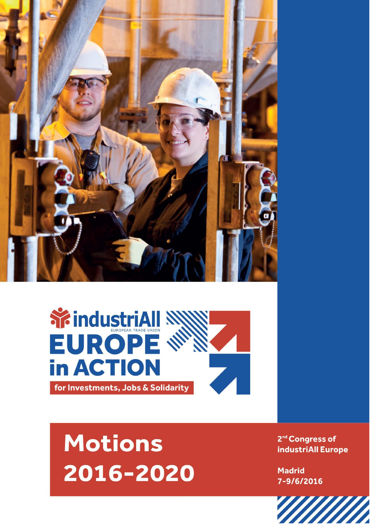



## **Motions** 2016-2020

2<sup>nd</sup> Congress of industriAll Europe

**Madrid** 7-9/6/2016